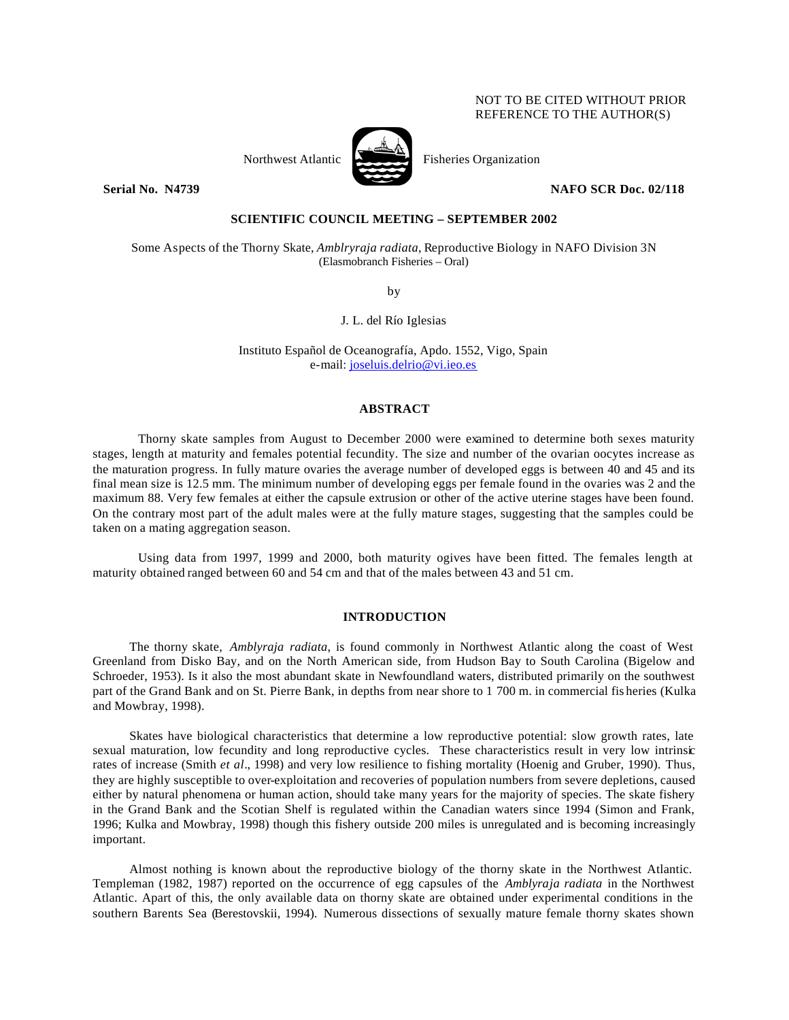## NOT TO BE CITED WITHOUT PRIOR REFERENCE TO THE AUTHOR(S)



Northwest Atlantic Fisheries Organization

**Serial No. N4739 NAFO SCR Doc. 02/118** 

## **SCIENTIFIC COUNCIL MEETING – SEPTEMBER 2002**

Some Aspects of the Thorny Skate, *Amblryraja radiata*, Reproductive Biology in NAFO Division 3N (Elasmobranch Fisheries – Oral)

by

J. L. del Río Iglesias

Instituto Español de Oceanografía, Apdo. 1552, Vigo, Spain e-mail: joseluis.delrio@vi.ieo.es

#### **ABSTRACT**

Thorny skate samples from August to December 2000 were examined to determine both sexes maturity stages, length at maturity and females potential fecundity. The size and number of the ovarian oocytes increase as the maturation progress. In fully mature ovaries the average number of developed eggs is between 40 and 45 and its final mean size is 12.5 mm. The minimum number of developing eggs per female found in the ovaries was 2 and the maximum 88. Very few females at either the capsule extrusion or other of the active uterine stages have been found. On the contrary most part of the adult males were at the fully mature stages, suggesting that the samples could be taken on a mating aggregation season.

Using data from 1997, 1999 and 2000, both maturity ogives have been fitted. The females length at maturity obtained ranged between 60 and 54 cm and that of the males between 43 and 51 cm.

## **INTRODUCTION**

The thorny skate, *Amblyraja radiata*, is found commonly in Northwest Atlantic along the coast of West Greenland from Disko Bay, and on the North American side, from Hudson Bay to South Carolina (Bigelow and Schroeder, 1953). Is it also the most abundant skate in Newfoundland waters, distributed primarily on the southwest part of the Grand Bank and on St. Pierre Bank, in depths from near shore to 1 700 m. in commercial fis heries (Kulka and Mowbray, 1998).

Skates have biological characteristics that determine a low reproductive potential: slow growth rates, late sexual maturation, low fecundity and long reproductive cycles. These characteristics result in very low intrinsic rates of increase (Smith *et al*., 1998) and very low resilience to fishing mortality (Hoenig and Gruber, 1990). Thus, they are highly susceptible to over-exploitation and recoveries of population numbers from severe depletions, caused either by natural phenomena or human action, should take many years for the majority of species. The skate fishery in the Grand Bank and the Scotian Shelf is regulated within the Canadian waters since 1994 (Simon and Frank, 1996; Kulka and Mowbray, 1998) though this fishery outside 200 miles is unregulated and is becoming increasingly important.

Almost nothing is known about the reproductive biology of the thorny skate in the Northwest Atlantic. Templeman (1982, 1987) reported on the occurrence of egg capsules of the *Amblyraja radiata* in the Northwest Atlantic. Apart of this, the only available data on thorny skate are obtained under experimental conditions in the southern Barents Sea (Berestovskii, 1994). Numerous dissections of sexually mature female thorny skates shown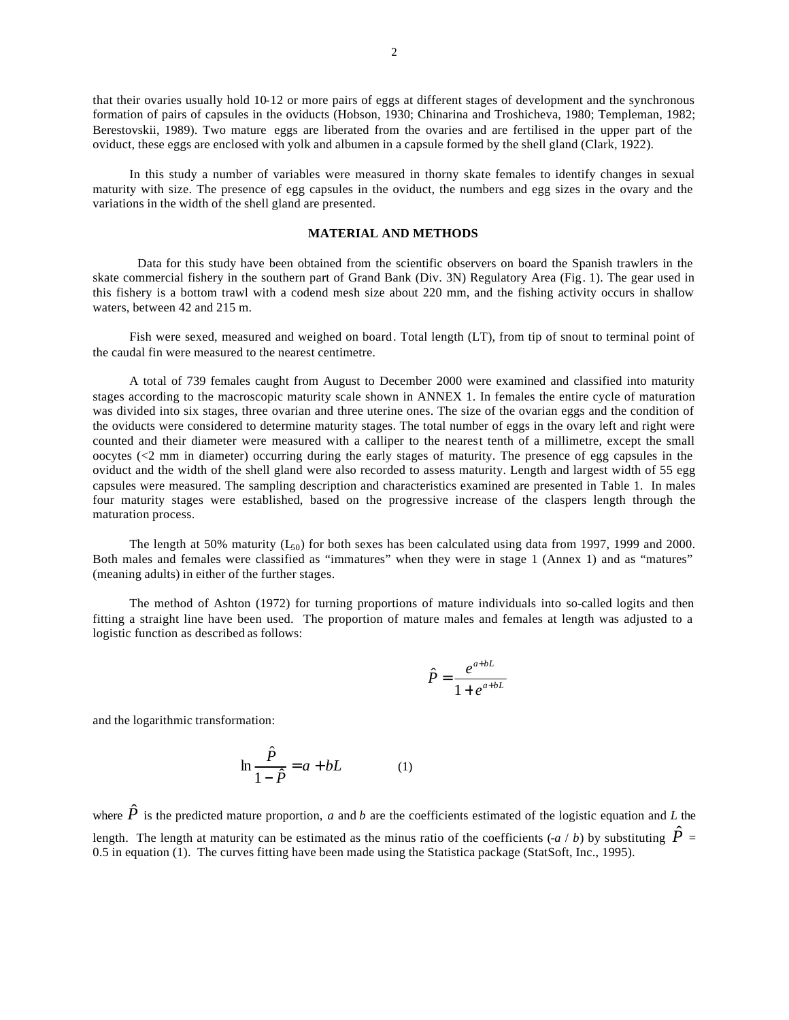that their ovaries usually hold 10-12 or more pairs of eggs at different stages of development and the synchronous formation of pairs of capsules in the oviducts (Hobson, 1930; Chinarina and Troshicheva, 1980; Templeman, 1982; Berestovskii, 1989). Two mature eggs are liberated from the ovaries and are fertilised in the upper part of the oviduct, these eggs are enclosed with yolk and albumen in a capsule formed by the shell gland (Clark, 1922).

In this study a number of variables were measured in thorny skate females to identify changes in sexual maturity with size. The presence of egg capsules in the oviduct, the numbers and egg sizes in the ovary and the variations in the width of the shell gland are presented.

### **MATERIAL AND METHODS**

 Data for this study have been obtained from the scientific observers on board the Spanish trawlers in the skate commercial fishery in the southern part of Grand Bank (Div. 3N) Regulatory Area (Fig. 1). The gear used in this fishery is a bottom trawl with a codend mesh size about 220 mm, and the fishing activity occurs in shallow waters, between 42 and 215 m.

Fish were sexed, measured and weighed on board. Total length (LT), from tip of snout to terminal point of the caudal fin were measured to the nearest centimetre.

A total of 739 females caught from August to December 2000 were examined and classified into maturity stages according to the macroscopic maturity scale shown in ANNEX 1. In females the entire cycle of maturation was divided into six stages, three ovarian and three uterine ones. The size of the ovarian eggs and the condition of the oviducts were considered to determine maturity stages. The total number of eggs in the ovary left and right were counted and their diameter were measured with a calliper to the nearest tenth of a millimetre, except the small oocytes  $\ll$  mm in diameter) occurring during the early stages of maturity. The presence of egg capsules in the oviduct and the width of the shell gland were also recorded to assess maturity. Length and largest width of 55 egg capsules were measured. The sampling description and characteristics examined are presented in Table 1. In males four maturity stages were established, based on the progressive increase of the claspers length through the maturation process.

The length at 50% maturity  $(L_{50})$  for both sexes has been calculated using data from 1997, 1999 and 2000. Both males and females were classified as "immatures" when they were in stage 1 (Annex 1) and as "matures" (meaning adults) in either of the further stages.

The method of Ashton (1972) for turning proportions of mature individuals into so-called logits and then fitting a straight line have been used. The proportion of mature males and females at length was adjusted to a logistic function as described as follows:

$$
\hat{P} = \frac{e^{a+bL}}{1+e^{a+bL}}
$$

and the logarithmic transformation:

$$
\ln \frac{\hat{P}}{1-\hat{P}} = a + bL \tag{1}
$$

where  $\hat{P}$  is the predicted mature proportion, *a* and *b* are the coefficients estimated of the logistic equation and *L* the length. The length at maturity can be estimated as the minus ratio of the coefficients  $(-a/b)$  by substituting  $P^{\dagger}$ 0.5 in equation (1). The curves fitting have been made using the Statistica package (StatSoft, Inc., 1995).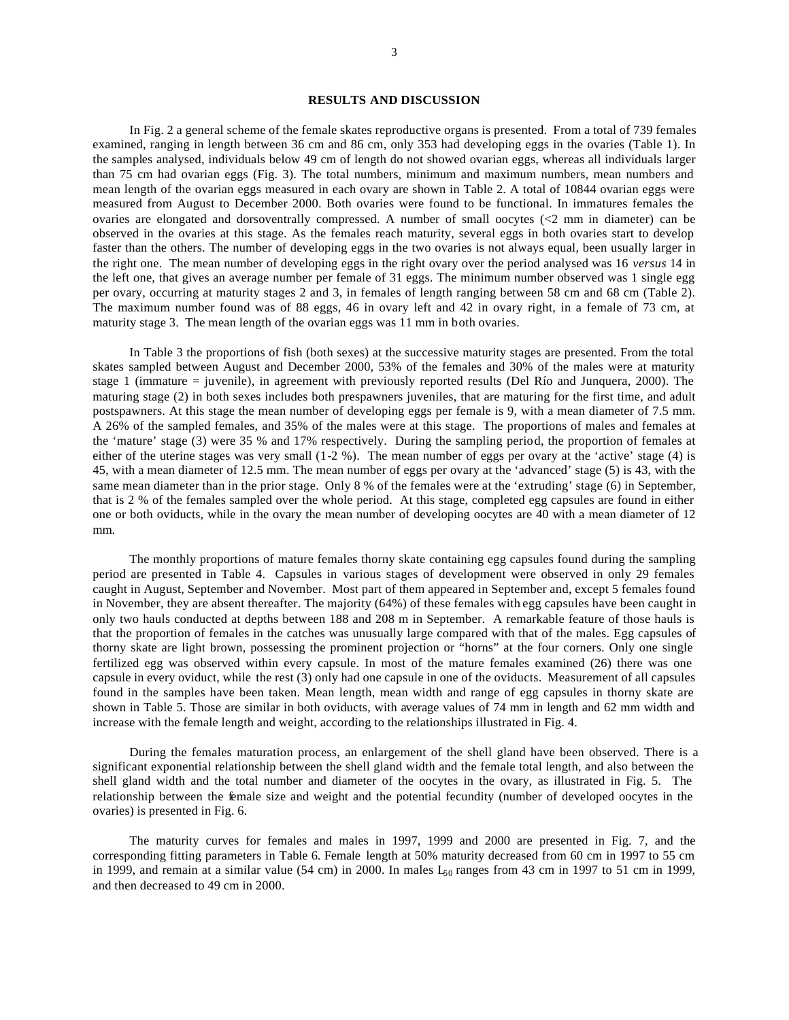### **RESULTS AND DISCUSSION**

In Fig. 2 a general scheme of the female skates reproductive organs is presented. From a total of 739 females examined, ranging in length between 36 cm and 86 cm, only 353 had developing eggs in the ovaries (Table 1). In the samples analysed, individuals below 49 cm of length do not showed ovarian eggs, whereas all individuals larger than 75 cm had ovarian eggs (Fig. 3). The total numbers, minimum and maximum numbers, mean numbers and mean length of the ovarian eggs measured in each ovary are shown in Table 2. A total of 10844 ovarian eggs were measured from August to December 2000. Both ovaries were found to be functional. In immatures females the ovaries are elongated and dorsoventrally compressed. A number of small oocytes (<2 mm in diameter) can be observed in the ovaries at this stage. As the females reach maturity, several eggs in both ovaries start to develop faster than the others. The number of developing eggs in the two ovaries is not always equal, been usually larger in the right one. The mean number of developing eggs in the right ovary over the period analysed was 16 *versus* 14 in the left one, that gives an average number per female of 31 eggs. The minimum number observed was 1 single egg per ovary, occurring at maturity stages 2 and 3, in females of length ranging between 58 cm and 68 cm (Table 2). The maximum number found was of 88 eggs, 46 in ovary left and 42 in ovary right, in a female of 73 cm, at maturity stage 3. The mean length of the ovarian eggs was 11 mm in both ovaries.

In Table 3 the proportions of fish (both sexes) at the successive maturity stages are presented. From the total skates sampled between August and December 2000, 53% of the females and 30% of the males were at maturity stage 1 (immature = juvenile), in agreement with previously reported results (Del Río and Junquera, 2000). The maturing stage (2) in both sexes includes both prespawners juveniles, that are maturing for the first time, and adult postspawners. At this stage the mean number of developing eggs per female is 9, with a mean diameter of 7.5 mm. A 26% of the sampled females, and 35% of the males were at this stage. The proportions of males and females at the 'mature' stage (3) were 35 % and 17% respectively. During the sampling period, the proportion of females at either of the uterine stages was very small (1-2 %). The mean number of eggs per ovary at the 'active' stage (4) is 45, with a mean diameter of 12.5 mm. The mean number of eggs per ovary at the 'advanced' stage (5) is 43, with the same mean diameter than in the prior stage. Only 8 % of the females were at the 'extruding' stage (6) in September, that is 2 % of the females sampled over the whole period. At this stage, completed egg capsules are found in either one or both oviducts, while in the ovary the mean number of developing oocytes are 40 with a mean diameter of 12 mm.

The monthly proportions of mature females thorny skate containing egg capsules found during the sampling period are presented in Table 4. Capsules in various stages of development were observed in only 29 females caught in August, September and November. Most part of them appeared in September and, except 5 females found in November, they are absent thereafter. The majority (64%) of these females with egg capsules have been caught in only two hauls conducted at depths between 188 and 208 m in September. A remarkable feature of those hauls is that the proportion of females in the catches was unusually large compared with that of the males. Egg capsules of thorny skate are light brown, possessing the prominent projection or "horns" at the four corners. Only one single fertilized egg was observed within every capsule. In most of the mature females examined (26) there was one capsule in every oviduct, while the rest (3) only had one capsule in one of the oviducts. Measurement of all capsules found in the samples have been taken. Mean length, mean width and range of egg capsules in thorny skate are shown in Table 5. Those are similar in both oviducts, with average values of 74 mm in length and 62 mm width and increase with the female length and weight, according to the relationships illustrated in Fig. 4.

During the females maturation process, an enlargement of the shell gland have been observed. There is a significant exponential relationship between the shell gland width and the female total length, and also between the shell gland width and the total number and diameter of the oocytes in the ovary, as illustrated in Fig. 5. The relationship between the female size and weight and the potential fecundity (number of developed oocytes in the ovaries) is presented in Fig. 6.

The maturity curves for females and males in 1997, 1999 and 2000 are presented in Fig. 7, and the corresponding fitting parameters in Table 6. Female length at 50% maturity decreased from 60 cm in 1997 to 55 cm in 1999, and remain at a similar value (54 cm) in 2000. In males  $L_{50}$  ranges from 43 cm in 1997 to 51 cm in 1999, and then decreased to 49 cm in 2000.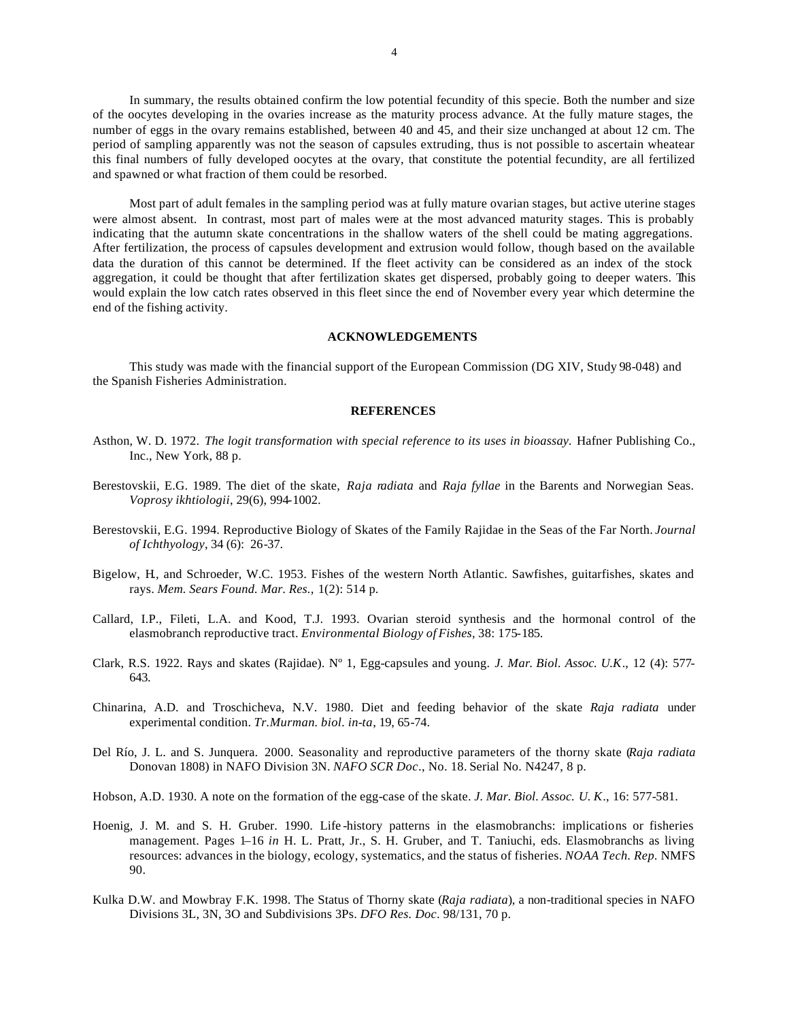In summary, the results obtained confirm the low potential fecundity of this specie. Both the number and size of the oocytes developing in the ovaries increase as the maturity process advance. At the fully mature stages, the number of eggs in the ovary remains established, between 40 and 45, and their size unchanged at about 12 cm. The period of sampling apparently was not the season of capsules extruding, thus is not possible to ascertain wheatear this final numbers of fully developed oocytes at the ovary, that constitute the potential fecundity, are all fertilized and spawned or what fraction of them could be resorbed.

Most part of adult females in the sampling period was at fully mature ovarian stages, but active uterine stages were almost absent. In contrast, most part of males were at the most advanced maturity stages. This is probably indicating that the autumn skate concentrations in the shallow waters of the shell could be mating aggregations. After fertilization, the process of capsules development and extrusion would follow, though based on the available data the duration of this cannot be determined. If the fleet activity can be considered as an index of the stock aggregation, it could be thought that after fertilization skates get dispersed, probably going to deeper waters. This would explain the low catch rates observed in this fleet since the end of November every year which determine the end of the fishing activity.

#### **ACKNOWLEDGEMENTS**

This study was made with the financial support of the European Commission (DG XIV, Study 98-048) and the Spanish Fisheries Administration.

## **REFERENCES**

- Asthon, W. D. 1972. *The logit transformation with special reference to its uses in bioassay*. Hafner Publishing Co., Inc., New York, 88 p.
- Berestovskii, E.G. 1989. The diet of the skate, *Raja radiata* and *Raja fyllae* in the Barents and Norwegian Seas. *Voprosy ikhtiologii*, 29(6), 994-1002.
- Berestovskii, E.G. 1994. Reproductive Biology of Skates of the Family Rajidae in the Seas of the Far North. *Journal of Ichthyology*, 34 (6): 26-37.
- Bigelow, H., and Schroeder, W.C. 1953. Fishes of the western North Atlantic. Sawfishes, guitarfishes, skates and rays. *Mem. Sears Found. Mar. Res.,* 1(2): 514 p.
- Callard, I.P., Fileti, L.A. and Kood, T.J. 1993. Ovarian steroid synthesis and the hormonal control of the elasmobranch reproductive tract. *Environmental Biology of Fishes,* 38: 175-185.
- Clark, R.S. 1922. Rays and skates (Rajidae). Nº 1, Egg-capsules and young. *J. Mar*. *Biol. Assoc. U.K*., 12 (4): 577- 643.
- Chinarina, A.D. and Troschicheva, N.V. 1980. Diet and feeding behavior of the skate *Raja radiata* under experimental condition. *Tr.Murman. biol. in-ta*, 19, 65-74.
- Del Río, J. L. and S. Junquera. 2000. Seasonality and reproductive parameters of the thorny skate (*Raja radiata* Donovan 1808) in NAFO Division 3N. *NAFO SCR Doc*., No. 18. Serial No. N4247, 8 p.
- Hobson, A.D. 1930. A note on the formation of the egg-case of the skate. *J. Mar. Biol. Assoc. U. K*., 16: 577-581.
- Hoenig, J. M. and S. H. Gruber. 1990. Life -history patterns in the elasmobranchs: implications or fisheries management. Pages 1–16 *in* H. L. Pratt, Jr., S. H. Gruber, and T. Taniuchi, eds. Elasmobranchs as living resources: advances in the biology, ecology, systematics, and the status of fisheries. *NOAA Tech. Rep.* NMFS 90.
- Kulka D.W. and Mowbray F.K. 1998. The Status of Thorny skate (*Raja radiata*), a non-traditional species in NAFO Divisions 3L, 3N, 3O and Subdivisions 3Ps. *DFO Res. Doc*. 98/131, 70 p.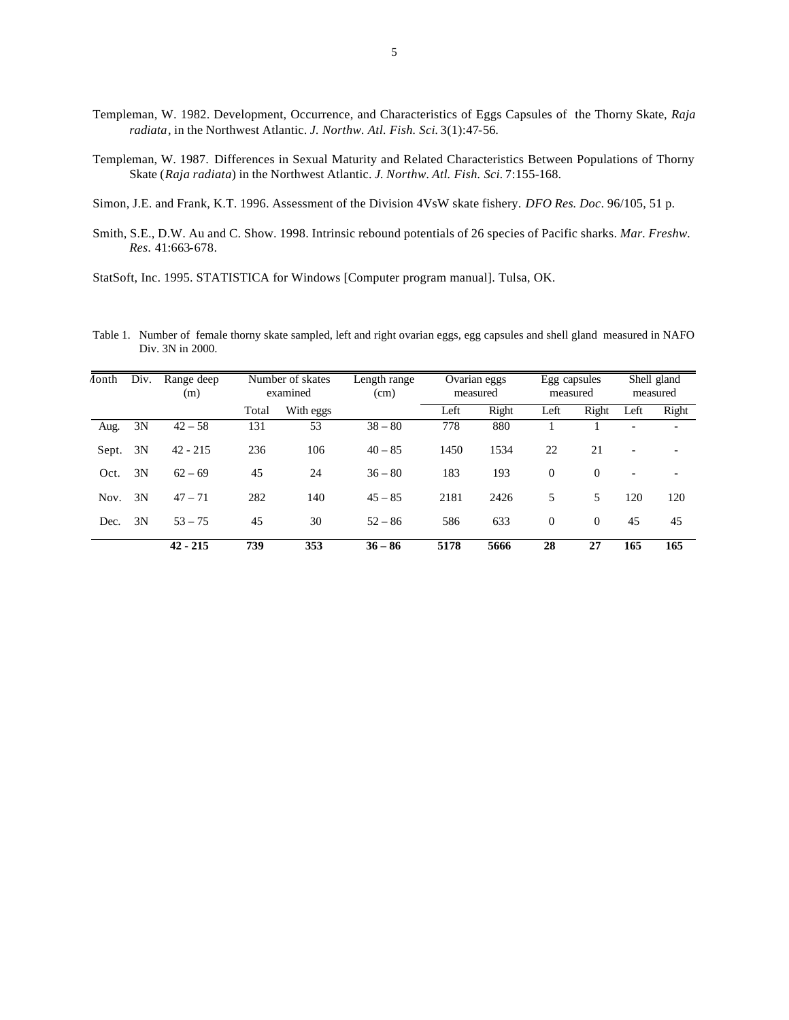- Templeman, W. 1982. Development, Occurrence, and Characteristics of Eggs Capsules of the Thorny Skate, *Raja radiata*, in the Northwest Atlantic. *J. Northw. Atl. Fish. Sci.* 3(1):47-56.
- Templeman, W. 1987. Differences in Sexual Maturity and Related Characteristics Between Populations of Thorny Skate (*Raja radiata*) in the Northwest Atlantic. *J. Northw. Atl. Fish. Sci.* 7:155-168.

Simon, J.E. and Frank, K.T. 1996. Assessment of the Division 4VsW skate fishery. *DFO Res. Doc*. 96/105, 51 p.

Smith, S.E., D.W. Au and C. Show. 1998. Intrinsic rebound potentials of 26 species of Pacific sharks. *Mar. Freshw. Res*. 41:663-678.

StatSoft, Inc. 1995. STATISTICA for Windows [Computer program manual]. Tulsa, OK.

Table 1. Number of female thorny skate sampled, left and right ovarian eggs, egg capsules and shell gland measured in NAFO Div. 3N in 2000.

| <i>A</i> onth | Div. | Range deep<br>(m) | Number of skates<br>examined<br>(cm) |           | Length range | Ovarian eggs<br>measured |       | Egg capsules<br>measured |          | Shell gland<br>measured  |                          |
|---------------|------|-------------------|--------------------------------------|-----------|--------------|--------------------------|-------|--------------------------|----------|--------------------------|--------------------------|
|               |      |                   | Total                                | With eggs |              | Left                     | Right | Left                     | Right    | Left                     | Right                    |
| Aug.          | 3N   | $42 - 58$         | 131                                  | 53        | $38 - 80$    | 778                      | 880   |                          |          |                          |                          |
| Sept.         | 3N   | $42 - 215$        | 236                                  | 106       | $40 - 85$    | 1450                     | 1534  | 22                       | 21       |                          |                          |
| Oct.          | 3N   | $62 - 69$         | 45                                   | 24        | $36 - 80$    | 183                      | 193   | $\Omega$                 | $\Omega$ | $\overline{\phantom{a}}$ | $\overline{\phantom{0}}$ |
| Nov.          | 3N   | $47 - 71$         | 282                                  | 140       | $45 - 85$    | 2181                     | 2426  | 5                        | 5        | 120                      | 120                      |
| Dec.          | 3N   | $53 - 75$         | 45                                   | 30        | $52 - 86$    | 586                      | 633   | $\Omega$                 | $\theta$ | 45                       | 45                       |
|               |      | $42 - 215$        | 739                                  | 353       | $36 - 86$    | 5178                     | 5666  | 28                       | 27       | 165                      | 165                      |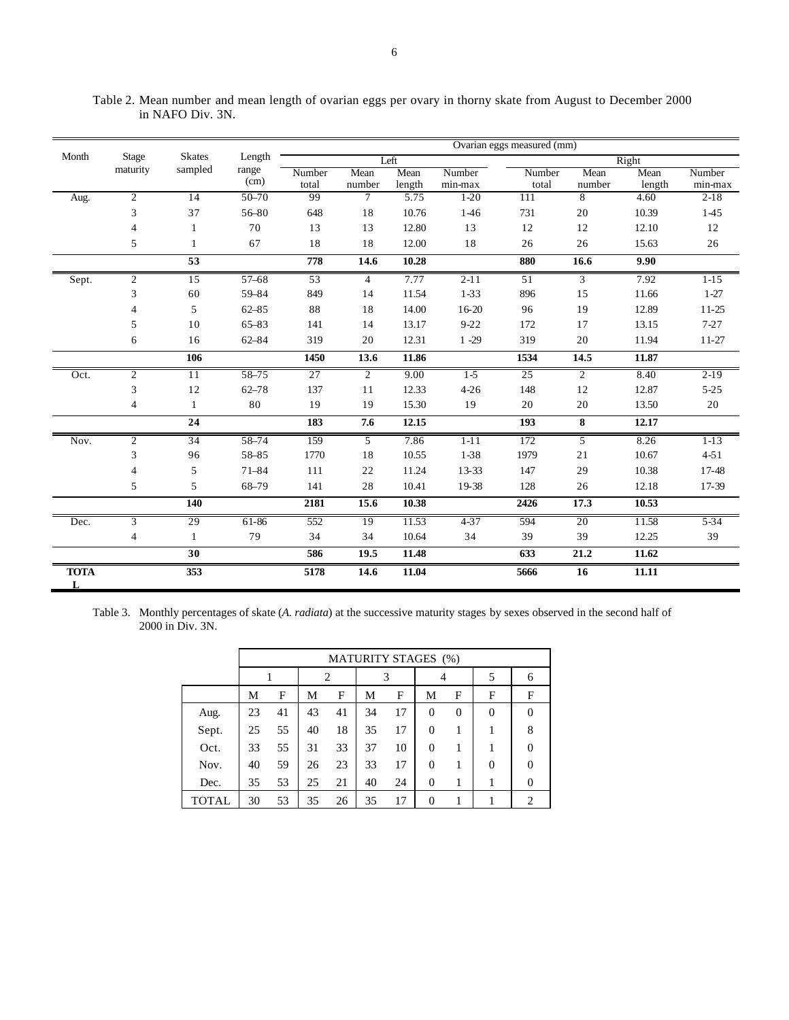|                  |                |                 |               |                 |                |                |                   | Ovarian eggs measured (mm) |                |                |                   |
|------------------|----------------|-----------------|---------------|-----------------|----------------|----------------|-------------------|----------------------------|----------------|----------------|-------------------|
| Month            | Stage          | <b>Skates</b>   | Length        |                 |                | Left           |                   |                            |                | Right          |                   |
|                  | maturity       | sampled         | range<br>(cm) | Number<br>total | Mean<br>number | Mean<br>length | Number<br>min-max | Number<br>total            | Mean<br>number | Mean<br>length | Number<br>min-max |
| Aug.             | $\overline{2}$ | 14              | $50 - 70$     | 99              | $\tau$         | 5.75           | $1-20$            | 111                        | 8              | 4.60           | $2-18$            |
|                  | 3              | 37              | 56-80         | 648             | 18             | 10.76          | $1-46$            | 731                        | 20             | 10.39          | 1-45              |
|                  | $\overline{4}$ |                 | 70            | 13              | 13             | 12.80          | 13                | 12                         | 12             | 12.10          | 12                |
|                  | 5              | $\mathbf{1}$    | 67            | 18              | 18             | 12.00          | 18                | 26                         | 26             | 15.63          | $26\,$            |
|                  |                | 53              |               | 778             | 14.6           | 10.28          |                   | 880                        | 16.6           | 9.90           |                   |
| Sept.            | $\overline{2}$ | 15              | $57 - 68$     | 53              | $\overline{4}$ | 7.77           | $2 - 11$          | 51                         | $\overline{3}$ | 7.92           | $1-15$            |
|                  | 3              | 60              | 59-84         | 849             | 14             | 11.54          | $1 - 33$          | 896                        | 15             | 11.66          | $1 - 27$          |
|                  | 4              | 5               | $62 - 85$     | 88              | 18             | 14.00          | $16-20$           | 96                         | 19             | 12.89          | $11-25$           |
|                  | 5              | 10              | $65 - 83$     | 141             | 14             | 13.17          | $9 - 22$          | 172                        | 17             | 13.15          | $7 - 27$          |
|                  | 6              | 16              | 62-84         | 319             | 20             | 12.31          | $1 - 29$          | 319                        | 20             | 11.94          | $11-27$           |
|                  |                | 106             |               | 1450            | 13.6           | 11.86          |                   | 1534                       | 14.5           | 11.87          |                   |
| Oct.             | $\overline{c}$ | 11              | 58-75         | $\overline{27}$ | $\overline{2}$ | 9.00           | $1-5$             | 25                         | 2              | 8.40           | $2-19$            |
|                  | 3              | 12              | $62 - 78$     | 137             | 11             | 12.33          | $4 - 26$          | 148                        | 12             | 12.87          | $5 - 25$          |
|                  | $\overline{4}$ | $\mathbf{1}$    | 80            | 19              | 19             | 15.30          | 19                | 20                         | 20             | 13.50          | $20\,$            |
|                  |                | 24              |               | 183             | 7.6            | 12.15          |                   | 193                        | 8              | 12.17          |                   |
| Nov.             | $\overline{2}$ | $\overline{34}$ | 58-74         | 159             | 5              | 7.86           | $1 - 11$          | 172                        | 5              | 8.26           | $1-13$            |
|                  | 3              | 96              | 58-85         | 1770            | 18             | 10.55          | $1 - 38$          | 1979                       | 21             | 10.67          | $4 - 51$          |
|                  | 4              | 5               | $71 - 84$     | 111             | 22             | 11.24          | 13-33             | 147                        | 29             | 10.38          | 17-48             |
|                  | 5              | 5               | 68-79         | 141             | 28             | 10.41          | 19-38             | 128                        | 26             | 12.18          | 17-39             |
|                  |                | 140             |               | 2181            | 15.6           | 10.38          |                   | 2426                       | 17.3           | 10.53          |                   |
| Dec.             | $\overline{3}$ | 29              | 61-86         | 552             | 19             | 11.53          | $4 - 37$          | 594                        | 20             | 11.58          | $5 - 34$          |
|                  | $\overline{4}$ | 1               | 79            | 34              | 34             | 10.64          | 34                | 39                         | 39             | 12.25          | 39                |
|                  |                | 30              |               | 586             | 19.5           | 11.48          |                   | 633                        | 21.2           | 11.62          |                   |
| <b>TOTA</b><br>L |                | 353             |               | 5178            | 14.6           | 11.04          |                   | 5666                       | 16             | 11.11          |                   |

Table 2. Mean number and mean length of ovarian eggs per ovary in thorny skate from August to December 2000 in NAFO Div. 3N.

Table 3. Monthly percentages of skate (*A. radiata*) at the successive maturity stages by sexes observed in the second half of 2000 in Div. 3N.

|              |    | <b>MATURITY STAGES (%)</b> |    |    |    |    |                  |                |                |          |
|--------------|----|----------------------------|----|----|----|----|------------------|----------------|----------------|----------|
|              |    | 2                          |    | 3  |    | 4  |                  | 5              | 6              |          |
|              | Μ  | F                          | М  | F  | М  | F  | М                | F              | F              | F        |
| Aug.         | 23 | 41                         | 43 | 41 | 34 | 17 | $\overline{0}$   | $\overline{0}$ | $\overline{0}$ | $\Omega$ |
| Sept.        | 25 | 55                         | 40 | 18 | 35 | 17 | $\Omega$         | 1              |                | 8        |
| Oct.         | 33 | 55                         | 31 | 33 | 37 | 10 | $\Omega$         | 1              |                | $\Omega$ |
| Nov.         | 40 | 59                         | 26 | 23 | 33 | 17 | $\Omega$         | 1              | $\Omega$       | $\Omega$ |
| Dec.         | 35 | 53                         | 25 | 21 | 40 | 24 | $\overline{0}$   | 1              |                | $\Omega$ |
| <b>TOTAL</b> | 30 | 53                         | 35 | 26 | 35 | 17 | $\boldsymbol{0}$ |                |                | 2        |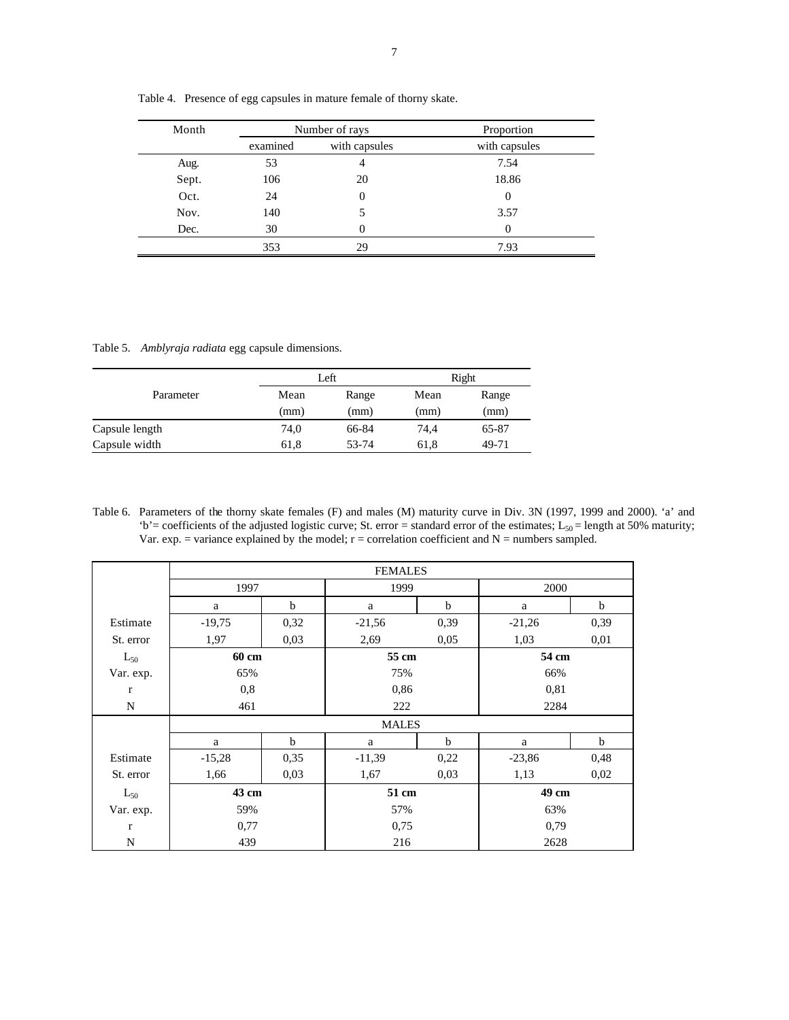| Month |          | Number of rays | Proportion    |
|-------|----------|----------------|---------------|
|       | examined | with capsules  | with capsules |
| Aug.  | 53       | 4              | 7.54          |
| Sept. | 106      | 20             | 18.86         |
| Oct.  | 24       | $\theta$       | 0             |
| Nov.  | 140      |                | 3.57          |
| Dec.  | 30       | $\Omega$       | $\Omega$      |
|       | 353      | 29             | 7.93          |
|       |          |                |               |

Table 4. Presence of egg capsules in mature female of thorny skate.

Table 5. *Amblyraja radiata* egg capsule dimensions.

|                |      | Left  | Right |       |  |
|----------------|------|-------|-------|-------|--|
| Parameter      | Mean | Range | Mean  | Range |  |
|                | (mm) | (mm)  | (mm)  | (mm)  |  |
| Capsule length | 74,0 | 66-84 | 74.4  | 65-87 |  |
| Capsule width  | 61,8 | 53-74 | 61,8  | 49-71 |  |

Table 6. Parameters of the thorny skate females (F) and males (M) maturity curve in Div. 3N (1997, 1999 and 2000). 'a' and 'b' = coefficients of the adjusted logistic curve; St. error = standard error of the estimates;  $L_{50}$  = length at 50% maturity; Var. exp. = variance explained by the model;  $r =$  correlation coefficient and  $N =$  numbers sampled.

|             |          |             | <b>FEMALES</b> |             |          |      |  |
|-------------|----------|-------------|----------------|-------------|----------|------|--|
|             | 1997     |             | 1999           |             | 2000     |      |  |
|             | a        | b           | a              | $\mathbf b$ | a        | b    |  |
| Estimate    | $-19,75$ | 0,32        | $-21,56$       | 0,39        | $-21,26$ | 0,39 |  |
| St. error   | 1,97     | 0.03        | 2,69           | 0,05        | 1,03     | 0,01 |  |
| $L_{50}$    | 60 cm    |             | 55 cm          |             | 54 cm    |      |  |
| Var. exp.   | 65%      |             | 75%            |             | 66%      |      |  |
| $\mathbf r$ | 0,8      |             | 0,86           |             | 0,81     |      |  |
| N           | 461      |             | 222            |             | 2284     |      |  |
|             |          |             | <b>MALES</b>   |             |          |      |  |
|             | a        | $\mathbf b$ | a              | $\mathbf b$ | a        | b    |  |
| Estimate    | $-15,28$ | 0,35        | $-11,39$       | 0,22        | $-23,86$ | 0,48 |  |
| St. error   | 1,66     | 0,03        | 1,67           | 0,03        | 1,13     | 0,02 |  |
| $L_{50}$    | 43 cm    |             | 51 cm          |             | 49 cm    |      |  |
| Var. exp.   | 59%      |             | 57%            |             | 63%      |      |  |
| $\mathbf r$ | 0,77     |             | 0,75           |             | 0,79     |      |  |
| N           | 439      |             | 216            |             | 2628     |      |  |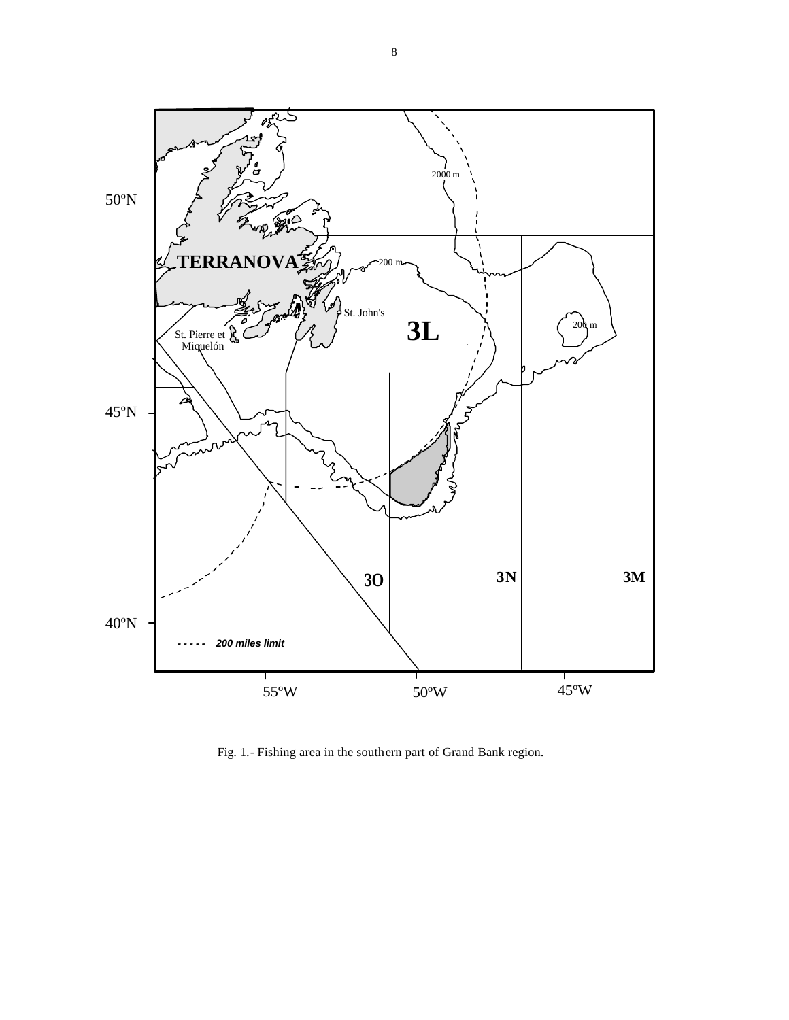

Fig. 1.- Fishing area in the southern part of Grand Bank region.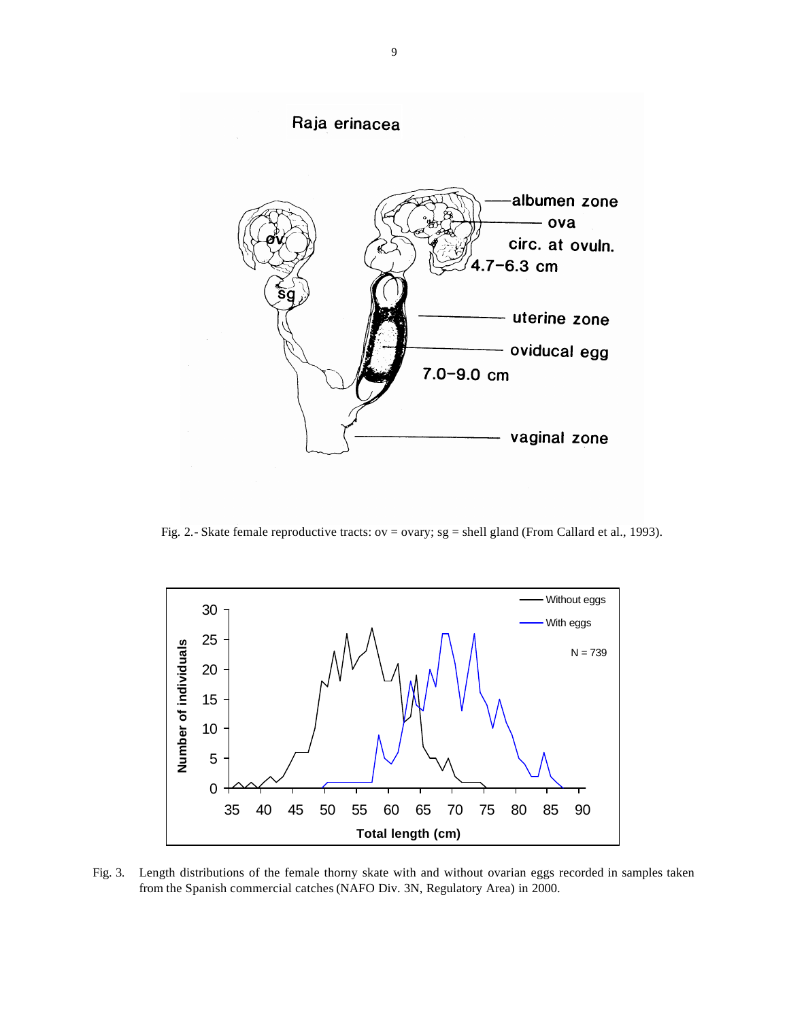

Fig. 2.- Skate female reproductive tracts: ov = ovary; sg = shell gland (From Callard et al., 1993).



Fig. 3. Length distributions of the female thorny skate with and without ovarian eggs recorded in samples taken from the Spanish commercial catches (NAFO Div. 3N, Regulatory Area) in 2000.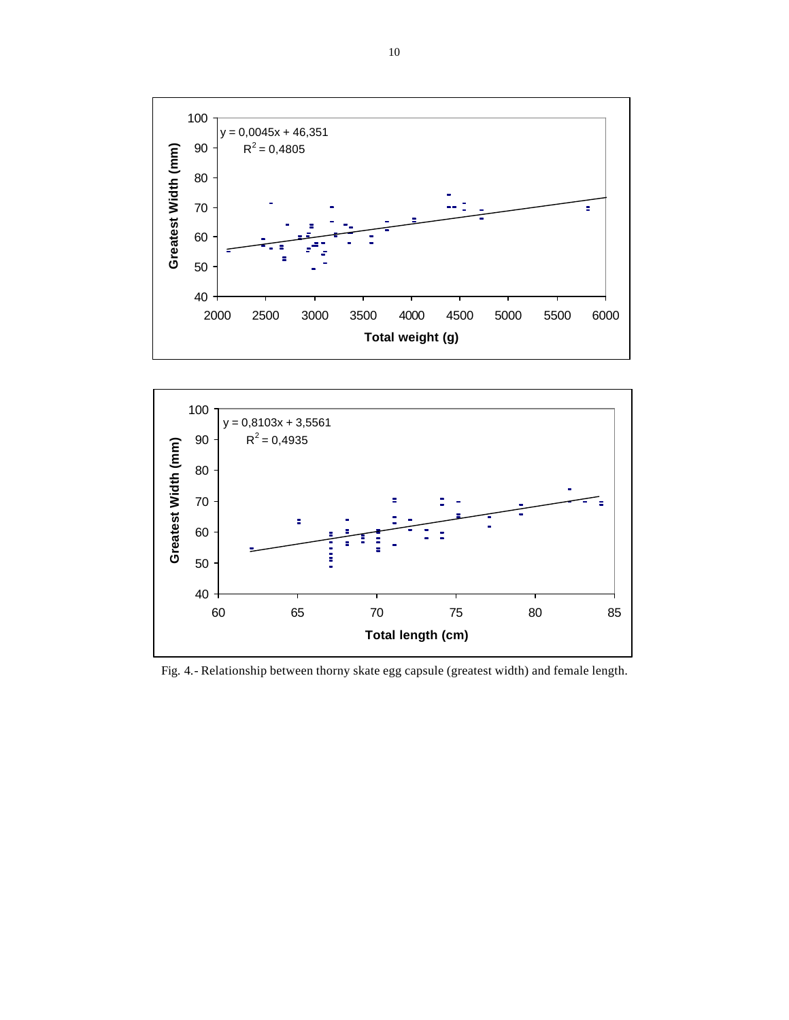



Fig. 4.- Relationship between thorny skate egg capsule (greatest width) and female length.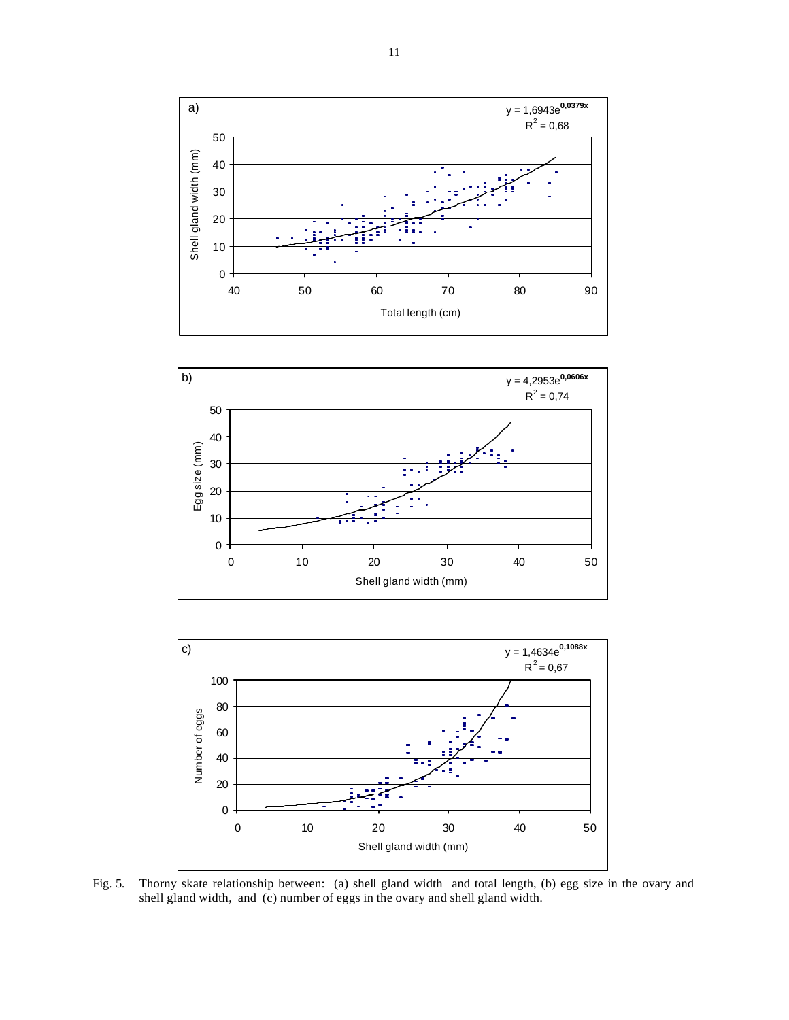





Fig. 5. Thorny skate relationship between: (a) shell gland width and total length, (b) egg size in the ovary and shell gland width, and (c) number of eggs in the ovary and shell gland width.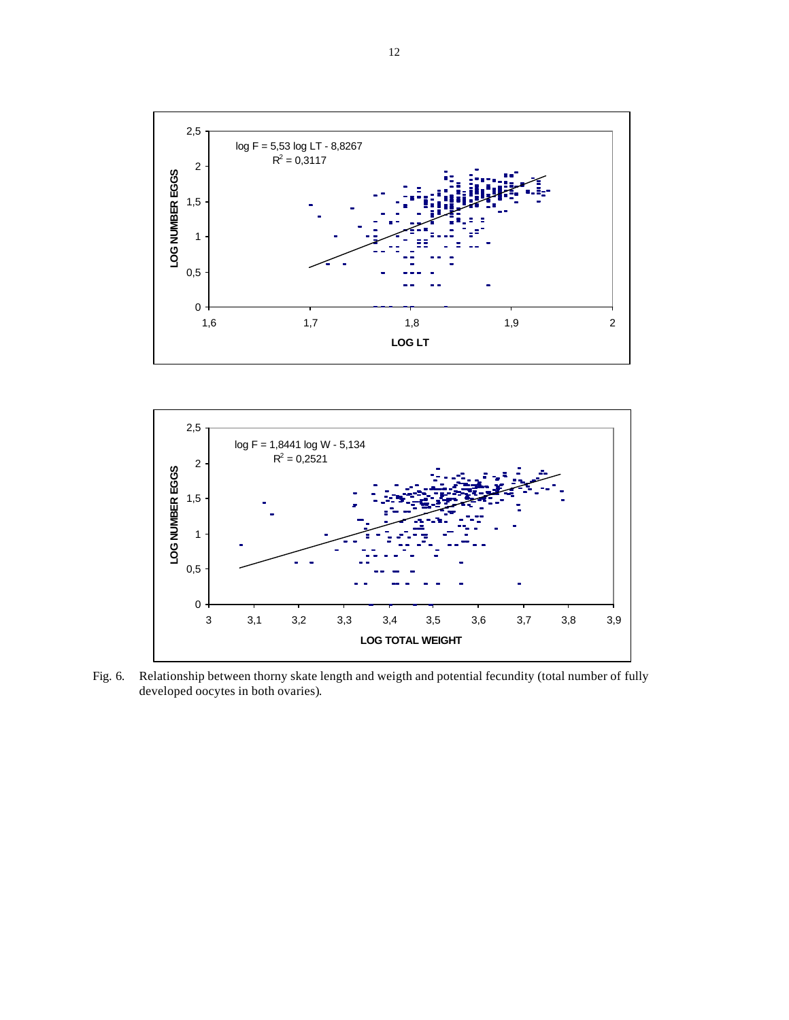



Fig. 6. Relationship between thorny skate length and weigth and potential fecundity (total number of fully developed oocytes in both ovaries).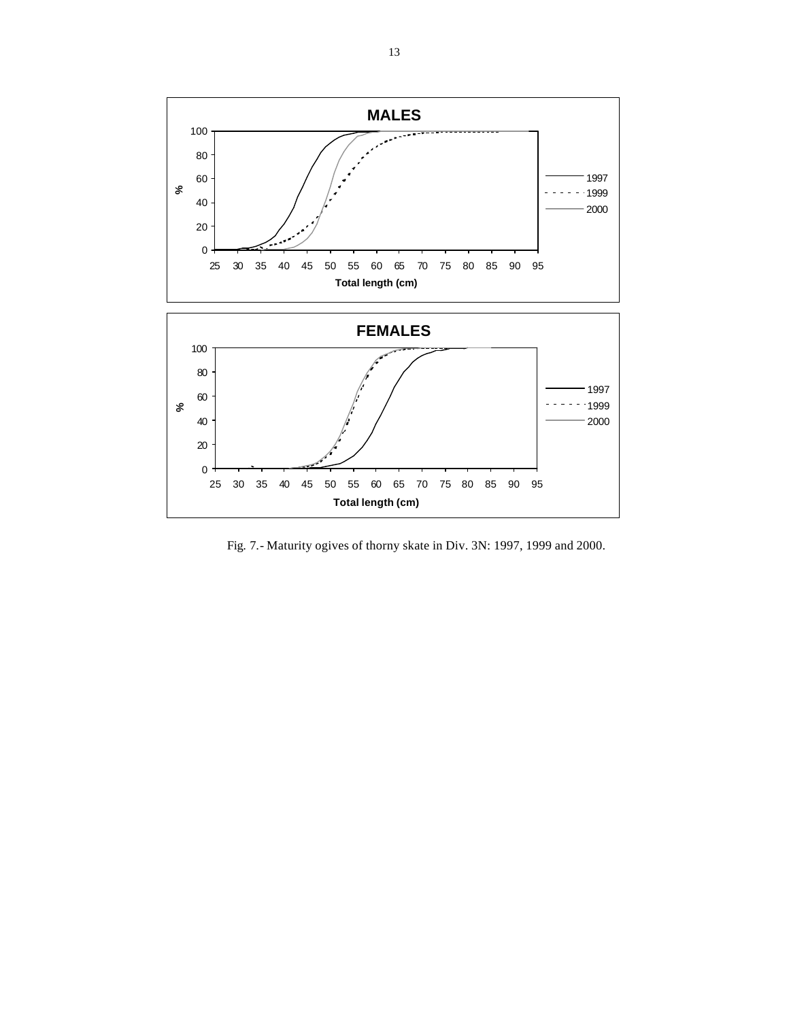

Fig. 7.- Maturity ogives of thorny skate in Div. 3N: 1997, 1999 and 2000.